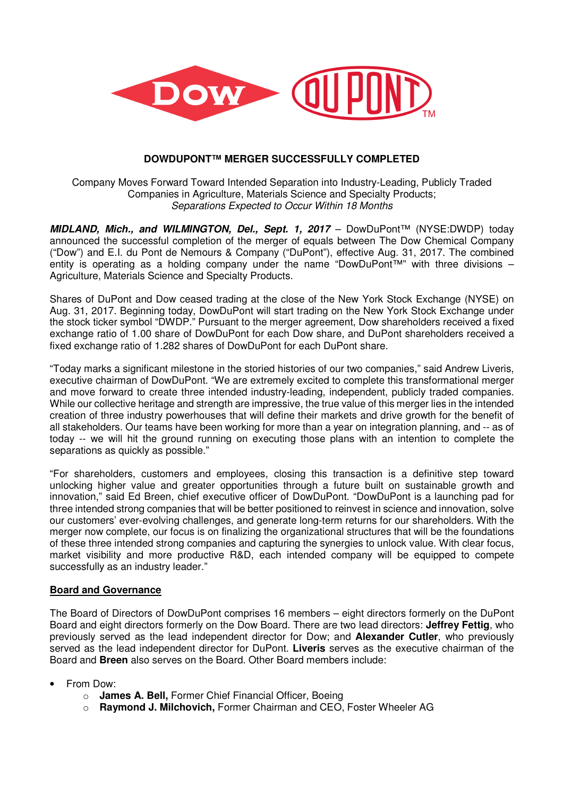

# **DOWDUPONT™ MERGER SUCCESSFULLY COMPLETED**

Company Moves Forward Toward Intended Separation into Industry-Leading, Publicly Traded Companies in Agriculture, Materials Science and Specialty Products; Separations Expected to Occur Within 18 Months

**MIDLAND, Mich., and WILMINGTON, Del., Sept. 1, 2017** – DowDuPont™ (NYSE:DWDP) today announced the successful completion of the merger of equals between The Dow Chemical Company ("Dow") and E.I. du Pont de Nemours & Company ("DuPont"), effective Aug. 31, 2017. The combined entity is operating as a holding company under the name "DowDuPont™" with three divisions – Agriculture, Materials Science and Specialty Products.

Shares of DuPont and Dow ceased trading at the close of the New York Stock Exchange (NYSE) on Aug. 31, 2017. Beginning today, DowDuPont will start trading on the New York Stock Exchange under the stock ticker symbol "DWDP." Pursuant to the merger agreement, Dow shareholders received a fixed exchange ratio of 1.00 share of DowDuPont for each Dow share, and DuPont shareholders received a fixed exchange ratio of 1.282 shares of DowDuPont for each DuPont share.

"Today marks a significant milestone in the storied histories of our two companies," said Andrew Liveris, executive chairman of DowDuPont. "We are extremely excited to complete this transformational merger and move forward to create three intended industry-leading, independent, publicly traded companies. While our collective heritage and strength are impressive, the true value of this merger lies in the intended creation of three industry powerhouses that will define their markets and drive growth for the benefit of all stakeholders. Our teams have been working for more than a year on integration planning, and -- as of today -- we will hit the ground running on executing those plans with an intention to complete the separations as quickly as possible."

"For shareholders, customers and employees, closing this transaction is a definitive step toward unlocking higher value and greater opportunities through a future built on sustainable growth and innovation," said Ed Breen, chief executive officer of DowDuPont. "DowDuPont is a launching pad for three intended strong companies that will be better positioned to reinvest in science and innovation, solve our customers' ever-evolving challenges, and generate long-term returns for our shareholders. With the merger now complete, our focus is on finalizing the organizational structures that will be the foundations of these three intended strong companies and capturing the synergies to unlock value. With clear focus, market visibility and more productive R&D, each intended company will be equipped to compete successfully as an industry leader."

## **Board and Governance**

The Board of Directors of DowDuPont comprises 16 members – eight directors formerly on the DuPont Board and eight directors formerly on the Dow Board. There are two lead directors: **Jeffrey Fettig**, who previously served as the lead independent director for Dow; and **Alexander Cutler**, who previously served as the lead independent director for DuPont. **Liveris** serves as the executive chairman of the Board and **Breen** also serves on the Board. Other Board members include:

- From Dow:
	- o **James A. Bell,** Former Chief Financial Officer, Boeing
	- o **Raymond J. Milchovich,** Former Chairman and CEO, Foster Wheeler AG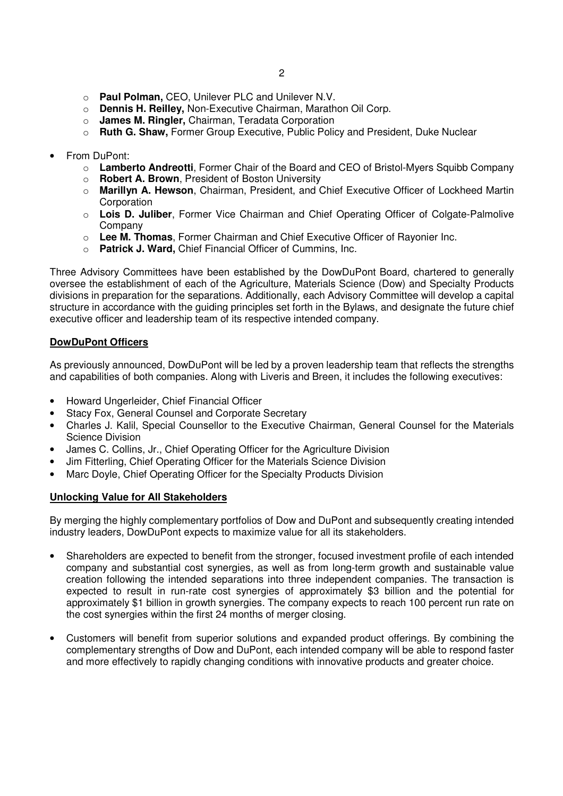- o **Paul Polman,** CEO, Unilever PLC and Unilever N.V.
- o **Dennis H. Reilley,** Non-Executive Chairman, Marathon Oil Corp.
- o **James M. Ringler,** Chairman, Teradata Corporation
- o **Ruth G. Shaw,** Former Group Executive, Public Policy and President, Duke Nuclear
- From DuPont:
	- o **Lamberto Andreotti**, Former Chair of the Board and CEO of Bristol-Myers Squibb Company
	- o **Robert A. Brown**, President of Boston University
	- o **Marillyn A. Hewson**, Chairman, President, and Chief Executive Officer of Lockheed Martin **Corporation**
	- o **Lois D. Juliber**, Former Vice Chairman and Chief Operating Officer of Colgate-Palmolive Company
	- o **Lee M. Thomas**, Former Chairman and Chief Executive Officer of Rayonier Inc.
	- o **Patrick J. Ward,** Chief Financial Officer of Cummins, Inc.

Three Advisory Committees have been established by the DowDuPont Board, chartered to generally oversee the establishment of each of the Agriculture, Materials Science (Dow) and Specialty Products divisions in preparation for the separations. Additionally, each Advisory Committee will develop a capital structure in accordance with the guiding principles set forth in the Bylaws, and designate the future chief executive officer and leadership team of its respective intended company.

# **DowDuPont Officers**

As previously announced, DowDuPont will be led by a proven leadership team that reflects the strengths and capabilities of both companies. Along with Liveris and Breen, it includes the following executives:

- Howard Ungerleider, Chief Financial Officer
- Stacy Fox, General Counsel and Corporate Secretary
- Charles J. Kalil, Special Counsellor to the Executive Chairman, General Counsel for the Materials Science Division
- James C. Collins, Jr., Chief Operating Officer for the Agriculture Division
- Jim Fitterling, Chief Operating Officer for the Materials Science Division
- Marc Doyle, Chief Operating Officer for the Specialty Products Division

## **Unlocking Value for All Stakeholders**

By merging the highly complementary portfolios of Dow and DuPont and subsequently creating intended industry leaders, DowDuPont expects to maximize value for all its stakeholders.

- Shareholders are expected to benefit from the stronger, focused investment profile of each intended company and substantial cost synergies, as well as from long-term growth and sustainable value creation following the intended separations into three independent companies. The transaction is expected to result in run-rate cost synergies of approximately \$3 billion and the potential for approximately \$1 billion in growth synergies. The company expects to reach 100 percent run rate on the cost synergies within the first 24 months of merger closing.
- Customers will benefit from superior solutions and expanded product offerings. By combining the complementary strengths of Dow and DuPont, each intended company will be able to respond faster and more effectively to rapidly changing conditions with innovative products and greater choice.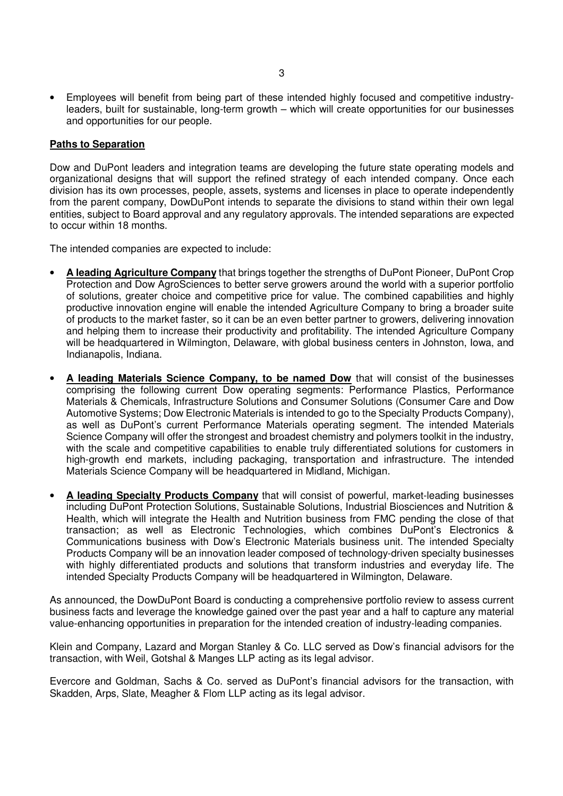• Employees will benefit from being part of these intended highly focused and competitive industryleaders, built for sustainable, long-term growth – which will create opportunities for our businesses and opportunities for our people.

## **Paths to Separation**

Dow and DuPont leaders and integration teams are developing the future state operating models and organizational designs that will support the refined strategy of each intended company. Once each division has its own processes, people, assets, systems and licenses in place to operate independently from the parent company, DowDuPont intends to separate the divisions to stand within their own legal entities, subject to Board approval and any regulatory approvals. The intended separations are expected to occur within 18 months.

The intended companies are expected to include:

- **A leading Agriculture Company** that brings together the strengths of DuPont Pioneer, DuPont Crop Protection and Dow AgroSciences to better serve growers around the world with a superior portfolio of solutions, greater choice and competitive price for value. The combined capabilities and highly productive innovation engine will enable the intended Agriculture Company to bring a broader suite of products to the market faster, so it can be an even better partner to growers, delivering innovation and helping them to increase their productivity and profitability. The intended Agriculture Company will be headquartered in Wilmington, Delaware, with global business centers in Johnston, Iowa, and Indianapolis, Indiana.
- **A leading Materials Science Company, to be named Dow** that will consist of the businesses comprising the following current Dow operating segments: Performance Plastics, Performance Materials & Chemicals, Infrastructure Solutions and Consumer Solutions (Consumer Care and Dow Automotive Systems; Dow Electronic Materials is intended to go to the Specialty Products Company), as well as DuPont's current Performance Materials operating segment. The intended Materials Science Company will offer the strongest and broadest chemistry and polymers toolkit in the industry, with the scale and competitive capabilities to enable truly differentiated solutions for customers in high-growth end markets, including packaging, transportation and infrastructure. The intended Materials Science Company will be headquartered in Midland, Michigan.
- **A leading Specialty Products Company** that will consist of powerful, market-leading businesses including DuPont Protection Solutions, Sustainable Solutions, Industrial Biosciences and Nutrition & Health, which will integrate the Health and Nutrition business from FMC pending the close of that transaction; as well as Electronic Technologies, which combines DuPont's Electronics & Communications business with Dow's Electronic Materials business unit. The intended Specialty Products Company will be an innovation leader composed of technology-driven specialty businesses with highly differentiated products and solutions that transform industries and everyday life. The intended Specialty Products Company will be headquartered in Wilmington, Delaware.

As announced, the DowDuPont Board is conducting a comprehensive portfolio review to assess current business facts and leverage the knowledge gained over the past year and a half to capture any material value-enhancing opportunities in preparation for the intended creation of industry-leading companies.

Klein and Company, Lazard and Morgan Stanley & Co. LLC served as Dow's financial advisors for the transaction, with Weil, Gotshal & Manges LLP acting as its legal advisor.

Evercore and Goldman, Sachs & Co. served as DuPont's financial advisors for the transaction, with Skadden, Arps, Slate, Meagher & Flom LLP acting as its legal advisor.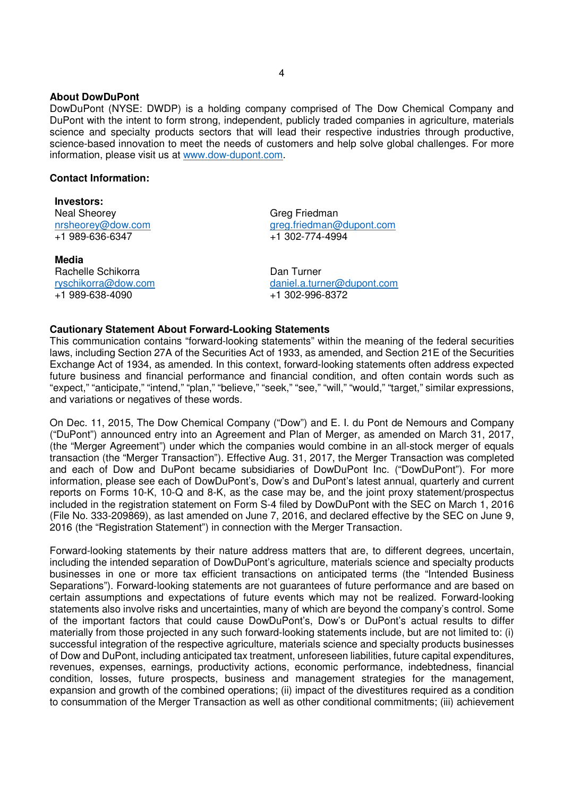#### **About DowDuPont**

DowDuPont (NYSE: DWDP) is a holding company comprised of The Dow Chemical Company and DuPont with the intent to form strong, independent, publicly traded companies in agriculture, materials science and specialty products sectors that will lead their respective industries through productive, science-based innovation to meet the needs of customers and help solve global challenges. For more information, please visit us at www.dow-dupont.com.

### **Contact Information:**

**Investors:**  Neal Sheorey nrsheorey@dow.com +1 989-636-6347

**Media**  Rachelle Schikorra ryschikorra@dow.com +1 989-638-4090

Greg Friedman greg.friedman@dupont.com +1 302-774-4994

Dan Turner daniel.a.turner@dupont.com +1 302-996-8372

# **Cautionary Statement About Forward-Looking Statements**

This communication contains "forward-looking statements" within the meaning of the federal securities laws, including Section 27A of the Securities Act of 1933, as amended, and Section 21E of the Securities Exchange Act of 1934, as amended. In this context, forward-looking statements often address expected future business and financial performance and financial condition, and often contain words such as "expect," "anticipate," "intend," "plan," "believe," "seek," "see," "will," "would," "target," similar expressions, and variations or negatives of these words.

On Dec. 11, 2015, The Dow Chemical Company ("Dow") and E. I. du Pont de Nemours and Company ("DuPont") announced entry into an Agreement and Plan of Merger, as amended on March 31, 2017, (the "Merger Agreement") under which the companies would combine in an all-stock merger of equals transaction (the "Merger Transaction"). Effective Aug. 31, 2017, the Merger Transaction was completed and each of Dow and DuPont became subsidiaries of DowDuPont Inc. ("DowDuPont"). For more information, please see each of DowDuPont's, Dow's and DuPont's latest annual, quarterly and current reports on Forms 10-K, 10-Q and 8-K, as the case may be, and the joint proxy statement/prospectus included in the registration statement on Form S-4 filed by DowDuPont with the SEC on March 1, 2016 (File No. 333-209869), as last amended on June 7, 2016, and declared effective by the SEC on June 9, 2016 (the "Registration Statement") in connection with the Merger Transaction.

Forward-looking statements by their nature address matters that are, to different degrees, uncertain, including the intended separation of DowDuPont's agriculture, materials science and specialty products businesses in one or more tax efficient transactions on anticipated terms (the "Intended Business Separations"). Forward-looking statements are not guarantees of future performance and are based on certain assumptions and expectations of future events which may not be realized. Forward-looking statements also involve risks and uncertainties, many of which are beyond the company's control. Some of the important factors that could cause DowDuPont's, Dow's or DuPont's actual results to differ materially from those projected in any such forward-looking statements include, but are not limited to: (i) successful integration of the respective agriculture, materials science and specialty products businesses of Dow and DuPont, including anticipated tax treatment, unforeseen liabilities, future capital expenditures, revenues, expenses, earnings, productivity actions, economic performance, indebtedness, financial condition, losses, future prospects, business and management strategies for the management, expansion and growth of the combined operations; (ii) impact of the divestitures required as a condition to consummation of the Merger Transaction as well as other conditional commitments; (iii) achievement